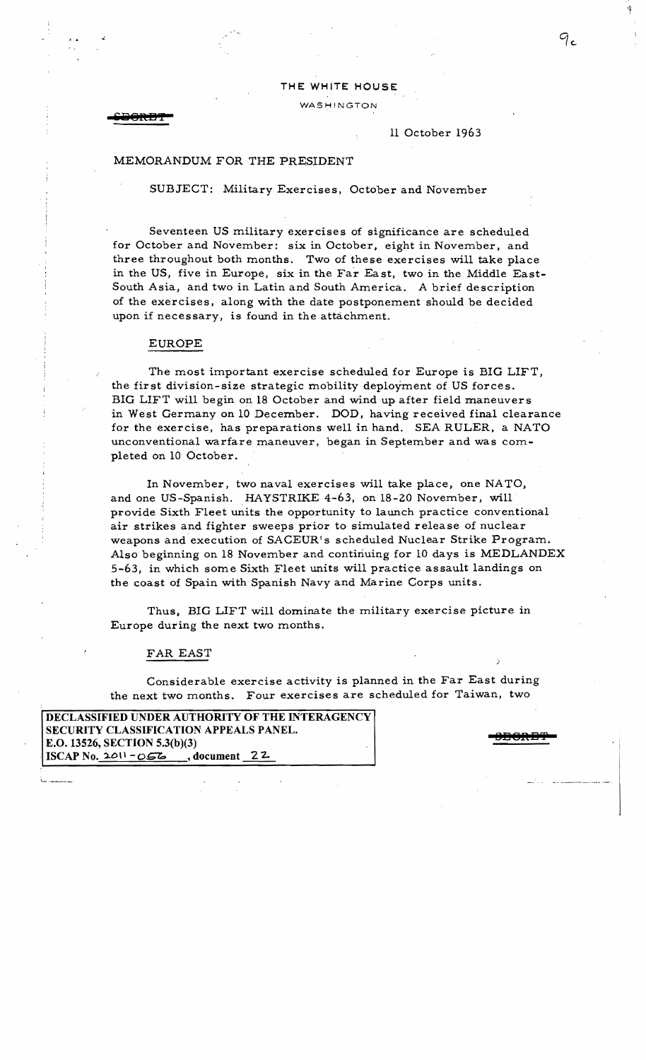### THE WHITE HOUSE

WASHINGTON

11 October 1963

### MEMORANDUM FOR THE PRESIDENT

SUBJECT: Military Exercises, October and November

Seventeen US military exercises of significance are scheduled for October and November: six in October. eight in November. and three throughout both months. Two of these exercises will take place in the US. five in Europe, six in the Far East, two in the Middle East-South Asia, and two in Latin and South America. A brief description of the exercises, along with the date postponement should be decided upon if necessary, is found in the attachment.

# EUROPE

The most important exercise scheduled for Europe is BIG LIFT, the first division-size strategic mobility deployment of US forces. BIG LIFT will begin on 18 October and wind up after field maneuvers in West Germany on 10 December. DOD, having received final clearance for the exercise, has preparations well in hand. SEA RULER. a NATO unconventional warfare maneuver, began in September and was completed on 10 October.

In November, two naval exercises will take place, one NATO, and one US-Spanish. HAYSTRIKE 4-63, on 18-20 November, will provide Sixth Fleet units the opportunity to launch practice conventional air strikes and fighter sweeps prior to simulated release of nuclear weapons andexecution of SACEUR's scheduled Nuclear Strike Program. Also beginning on 18 November and continuing for 10 days is MEDLANDEX 5-63, in which some Sixth Fleet units will practice assault landings on the coast of Spain with Spanish Navy and Marine Corps units.

Thus, BIG LIFT will dominate the military exercise picture in Europe during the next two months.

## FAR EAST

\,- .\_--

Considerable exercise activity is planned in the Far East during the next two months. Four exercises are scheduled for Taiwan, two

| DECLASSIFIED UNDER AUTHORITY OF THE INTERAGENCY |
|-------------------------------------------------|
| <b>SECURITY CLASSIFICATION APPEALS PANEL.</b>   |
| E.O. 13526, SECTION 5.3(b)(3)                   |
| ISCAP No. $2011 - 056$ document 22              |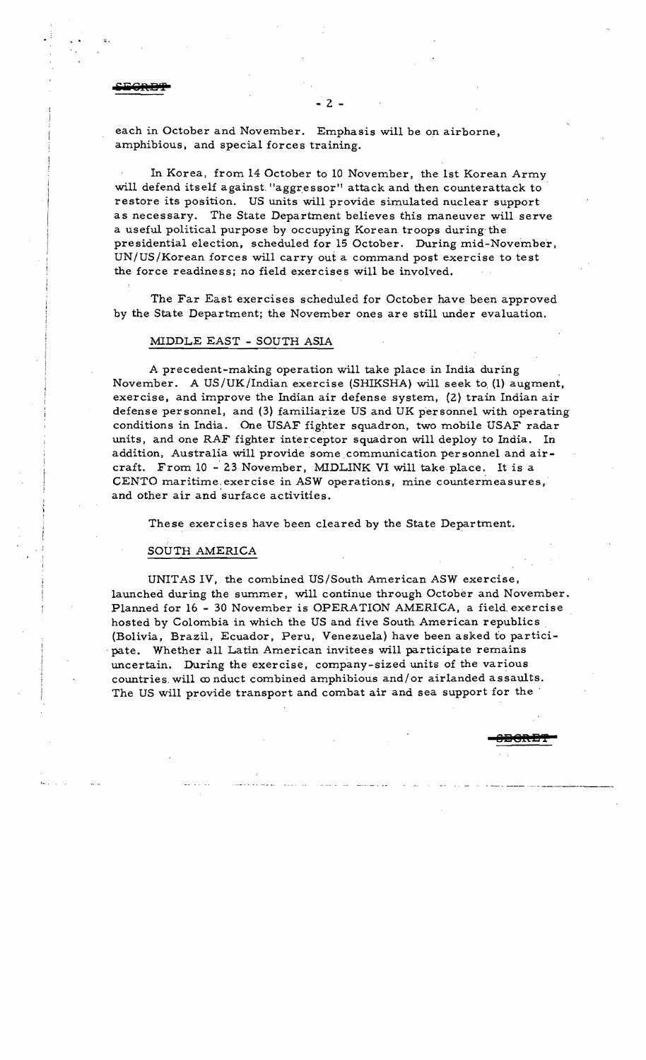, .

each in October and November. Emphasis will be on airborne, amphibious, and special forces training.

In Korea, from 14 October to 10 November, the 1st Korean Army will defend itself against. "aggressor" attack and then counterattack to restore its position. US units will provide simulated nuclear support as necessary. The State Department believes this maneuver will serve a useful political purpose by occupying Korean troops during· the presidential election, scheduled for 15 October. During mid-November, UN/US/Korean forces will carry out a command post exercise to test the force readiness; no field exercises will be involved.

The Far East exercises scheduled for October have been approved by the State Department; the November ones are still under evaluation.

### MIDDLE EAST - SOUTH ASIA

A precedent-making operation will take place in India during November. A US/UK/Indian exercise (SHIKSHA) will seek to (1) augment, exercise, and improve the Indian air defense system, (2) train Indian air defense personnel, and (3) familiarize US and UK personnel with operating conditions in India. One USAF Hghter squadron, two mobile USAF radar units, and one RAF fighter interceptor squadron will deploy to India. In addition, Australia will provide some communication personnel and aircraft. From 10 - 23 November, MIDLINK VI will take place. It is a CENTO maritime. exercise in ASW operations, mine countermeasures,· and other air and surface activities.

These exercises have been cleared by the State Department.

### SOUTH AMERICA

UNITAS IV, the combined US/South American ASW exercise, launched during the summer, will continue through October and November. Planned for 16 - 30 November is OPERATION AMERICA, a field. exercise hosted by Colombia in which the US and five South American republics. (Bolivia, Brazil, Ecuador, Peru, Venezuela) have been asked to partici . pate. Whether all Latin American invitees will participate remains uncertain. During the exercise, company-sized units of the various countries will  $\infty$  nduct combined amphibious and/or airlanded assaults. The US will provide transport and combat air and sea support for the